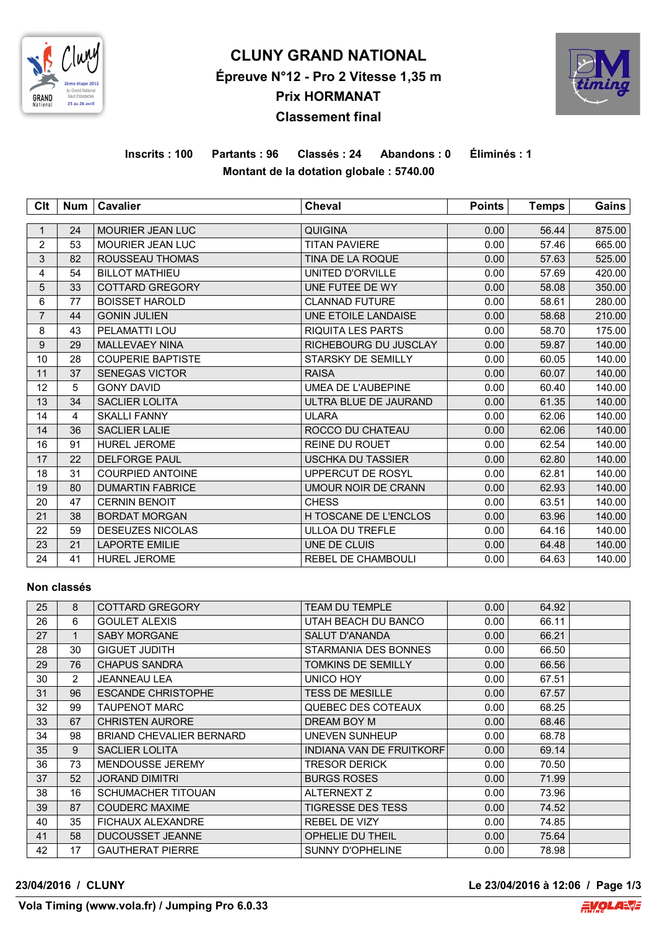

# **CLUNY GRAND NATIONAL Épreuve N°12 - Pro 2 Vitesse 1,35 m Prix HORMANAT Classement final**



# **Inscrits : 100 Partants : 96 Classés : 24 Abandons : 0 Éliminés : 1 Montant de la dotation globale : 5740.00**

| Clt            | Num | <b>Cavalier</b>          | <b>Cheval</b>                | <b>Points</b> | <b>Temps</b> | Gains  |
|----------------|-----|--------------------------|------------------------------|---------------|--------------|--------|
|                |     |                          |                              |               |              |        |
| 1              | 24  | <b>MOURIER JEAN LUC</b>  | <b>QUIGINA</b>               | 0.00          | 56.44        | 875.00 |
| 2              | 53  | <b>MOURIER JEAN LUC</b>  | <b>TITAN PAVIERE</b>         | 0.00          | 57.46        | 665.00 |
| 3              | 82  | ROUSSEAU THOMAS          | TINA DE LA ROQUE             | 0.00          | 57.63        | 525.00 |
| 4              | 54  | <b>BILLOT MATHIEU</b>    | UNITED D'ORVILLE             | 0.00          | 57.69        | 420.00 |
| 5              | 33  | <b>COTTARD GREGORY</b>   | UNE FUTEE DE WY              | 0.00          | 58.08        | 350.00 |
| 6              | 77  | <b>BOISSET HAROLD</b>    | <b>CLANNAD FUTURE</b>        | 0.00          | 58.61        | 280.00 |
| $\overline{7}$ | 44  | <b>GONIN JULIEN</b>      | UNE ETOILE LANDAISE          | 0.00          | 58.68        | 210.00 |
| 8              | 43  | PELAMATTI LOU            | <b>RIQUITA LES PARTS</b>     | 0.00          | 58.70        | 175.00 |
| 9              | 29  | <b>MALLEVAEY NINA</b>    | RICHEBOURG DU JUSCLAY        | 0.00          | 59.87        | 140.00 |
| 10             | 28  | <b>COUPERIE BAPTISTE</b> | STARSKY DE SEMILLY           | 0.00          | 60.05        | 140.00 |
| 11             | 37  | <b>SENEGAS VICTOR</b>    | <b>RAISA</b>                 | 0.00          | 60.07        | 140.00 |
| 12             | 5   | <b>GONY DAVID</b>        | UMEA DE L'AUBEPINE           | 0.00          | 60.40        | 140.00 |
| 13             | 34  | <b>SACLIER LOLITA</b>    | ULTRA BLUE DE JAURAND        | 0.00          | 61.35        | 140.00 |
| 14             | 4   | <b>SKALLI FANNY</b>      | <b>ULARA</b>                 | 0.00          | 62.06        | 140.00 |
| 14             | 36  | <b>SACLIER LALIE</b>     | ROCCO DU CHATEAU             | 0.00          | 62.06        | 140.00 |
| 16             | 91  | <b>HUREL JEROME</b>      | <b>REINE DU ROUET</b>        | 0.00          | 62.54        | 140.00 |
| 17             | 22  | <b>DELFORGE PAUL</b>     | <b>USCHKA DU TASSIER</b>     | 0.00          | 62.80        | 140.00 |
| 18             | 31  | <b>COURPIED ANTOINE</b>  | UPPERCUT DE ROSYL            | 0.00          | 62.81        | 140.00 |
| 19             | 80  | <b>DUMARTIN FABRICE</b>  | UMOUR NOIR DE CRANN          | 0.00          | 62.93        | 140.00 |
| 20             | 47  | <b>CERNIN BENOIT</b>     | <b>CHESS</b>                 | 0.00          | 63.51        | 140.00 |
| 21             | 38  | <b>BORDAT MORGAN</b>     | <b>H TOSCANE DE L'ENCLOS</b> | 0.00          | 63.96        | 140.00 |
| 22             | 59  | <b>DESEUZES NICOLAS</b>  | <b>ULLOA DU TREFLE</b>       | 0.00          | 64.16        | 140.00 |
| 23             | 21  | <b>LAPORTE EMILIE</b>    | UNE DE CLUIS                 | 0.00          | 64.48        | 140.00 |
| 24             | 41  | <b>HUREL JEROME</b>      | <b>REBEL DE CHAMBOULI</b>    | 0.00          | 64.63        | 140.00 |

#### **Non classés**

| 25 | 8              | <b>COTTARD GREGORY</b>          | <b>TEAM DU TEMPLE</b>           | 0.00 | 64.92 |  |
|----|----------------|---------------------------------|---------------------------------|------|-------|--|
| 26 | 6              | <b>GOULET ALEXIS</b>            | UTAH BEACH DU BANCO             | 0.00 | 66.11 |  |
| 27 | $\mathbf 1$    | <b>SABY MORGANE</b>             | <b>SALUT D'ANANDA</b>           | 0.00 | 66.21 |  |
| 28 | 30             | <b>GIGUET JUDITH</b>            | STARMANIA DES BONNES            | 0.00 | 66.50 |  |
| 29 | 76             | <b>CHAPUS SANDRA</b>            | <b>TOMKINS DE SEMILLY</b>       | 0.00 | 66.56 |  |
| 30 | $\overline{2}$ | <b>JEANNEAU LEA</b>             | UNICO HOY                       | 0.00 | 67.51 |  |
| 31 | 96             | <b>ESCANDE CHRISTOPHE</b>       | <b>TESS DE MESILLE</b>          | 0.00 | 67.57 |  |
| 32 | 99             | TAUPENOT MARC                   | QUEBEC DES COTEAUX              | 0.00 | 68.25 |  |
| 33 | 67             | <b>CHRISTEN AURORE</b>          | DREAM BOY M                     | 0.00 | 68.46 |  |
| 34 | 98             | <b>BRIAND CHEVALIER BERNARD</b> | UNEVEN SUNHEUP                  | 0.00 | 68.78 |  |
| 35 | 9              | <b>SACLIER LOLITA</b>           | <b>INDIANA VAN DE FRUITKORF</b> | 0.00 | 69.14 |  |
| 36 | 73             | MENDOUSSE JEREMY                | <b>TRESOR DERICK</b>            | 0.00 | 70.50 |  |
| 37 | 52             | <b>JORAND DIMITRI</b>           | <b>BURGS ROSES</b>              | 0.00 | 71.99 |  |
| 38 | 16             | <b>SCHUMACHER TITOUAN</b>       | ALTERNEXT Z                     | 0.00 | 73.96 |  |
| 39 | 87             | <b>COUDERC MAXIME</b>           | <b>TIGRESSE DES TESS</b>        | 0.00 | 74.52 |  |
| 40 | 35             | <b>FICHAUX ALEXANDRE</b>        | <b>REBEL DE VIZY</b>            | 0.00 | 74.85 |  |
| 41 | 58             | <b>DUCOUSSET JEANNE</b>         | <b>OPHELIE DU THEIL</b>         | 0.00 | 75.64 |  |
| 42 | 17             | <b>GAUTHERAT PIERRE</b>         | <b>SUNNY D'OPHELINE</b>         | 0.00 | 78.98 |  |

**23/04/2016 / CLUNY Le 23/04/2016 à 12:06 / Page 1/3**

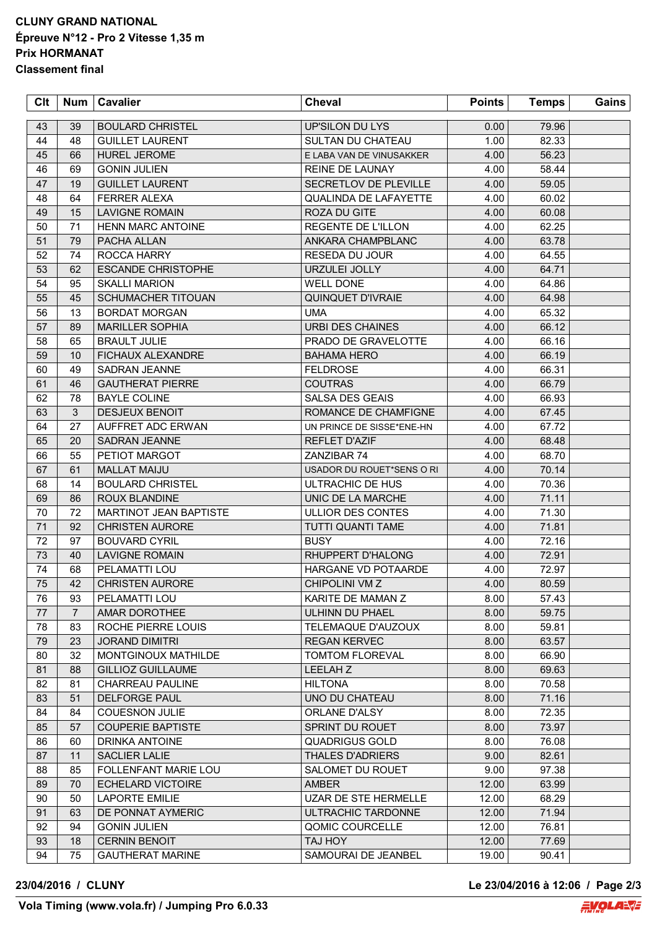## **CLUNY GRAND NATIONAL Épreuve N°12 - Pro 2 Vitesse 1,35 m Prix HORMANAT Classement final**

| 43<br><b>BOULARD CHRISTEL</b><br>UP'SILON DU LYS<br>0.00 <sub>1</sub><br>39<br>44<br>48<br><b>GUILLET LAURENT</b><br><b>SULTAN DU CHATEAU</b><br>1.00<br>45<br>66<br><b>HUREL JEROME</b><br>E LABA VAN DE VINUSAKKER<br>4.00<br>46<br>69<br><b>GONIN JULIEN</b><br>REINE DE LAUNAY<br>4.00<br>47<br>19<br><b>GUILLET LAURENT</b><br>SECRETLOV DE PLEVILLE<br>4.00 | 79.96<br>82.33<br>56.23<br>58.44<br>59.05<br>60.02 |  |
|-------------------------------------------------------------------------------------------------------------------------------------------------------------------------------------------------------------------------------------------------------------------------------------------------------------------------------------------------------------------|----------------------------------------------------|--|
|                                                                                                                                                                                                                                                                                                                                                                   |                                                    |  |
|                                                                                                                                                                                                                                                                                                                                                                   |                                                    |  |
|                                                                                                                                                                                                                                                                                                                                                                   |                                                    |  |
|                                                                                                                                                                                                                                                                                                                                                                   |                                                    |  |
|                                                                                                                                                                                                                                                                                                                                                                   |                                                    |  |
| 48<br>4.00<br>64<br><b>FERRER ALEXA</b><br><b>QUALINDA DE LAFAYETTE</b>                                                                                                                                                                                                                                                                                           |                                                    |  |
| 49<br>15<br><b>LAVIGNE ROMAIN</b><br>ROZA DU GITE<br>4.00                                                                                                                                                                                                                                                                                                         | 60.08                                              |  |
| 50<br>71<br><b>HENN MARC ANTOINE</b><br>REGENTE DE L'ILLON<br>4.00                                                                                                                                                                                                                                                                                                | 62.25                                              |  |
| 51<br>79<br>PACHA ALLAN<br>ANKARA CHAMPBLANC<br>4.00                                                                                                                                                                                                                                                                                                              | 63.78                                              |  |
| 52<br>74<br>ROCCA HARRY<br>RESEDA DU JOUR<br>4.00                                                                                                                                                                                                                                                                                                                 | 64.55                                              |  |
| 62<br>53<br><b>ESCANDE CHRISTOPHE</b><br>URZULEI JOLLY<br>4.00                                                                                                                                                                                                                                                                                                    | 64.71                                              |  |
| 95<br>54<br><b>SKALLI MARION</b><br><b>WELL DONE</b><br>4.00                                                                                                                                                                                                                                                                                                      | 64.86                                              |  |
| 55<br>45<br><b>SCHUMACHER TITOUAN</b><br><b>QUINQUET D'IVRAIE</b><br>4.00                                                                                                                                                                                                                                                                                         | 64.98                                              |  |
| 56<br>13<br><b>UMA</b><br>4.00<br><b>BORDAT MORGAN</b>                                                                                                                                                                                                                                                                                                            | 65.32                                              |  |
| 57<br><b>MARILLER SOPHIA</b><br><b>URBI DES CHAINES</b><br>89<br>4.00                                                                                                                                                                                                                                                                                             | 66.12                                              |  |
| 58<br><b>BRAULT JULIE</b><br>PRADO DE GRAVELOTTE<br>65<br>4.00                                                                                                                                                                                                                                                                                                    | 66.16                                              |  |
| 59<br>10<br><b>FICHAUX ALEXANDRE</b><br><b>BAHAMA HERO</b><br>4.00                                                                                                                                                                                                                                                                                                | 66.19                                              |  |
| 60<br>49<br>SADRAN JEANNE<br>4.00<br><b>FELDROSE</b>                                                                                                                                                                                                                                                                                                              | 66.31                                              |  |
| 61<br>46<br><b>GAUTHERAT PIERRE</b><br><b>COUTRAS</b><br>4.00                                                                                                                                                                                                                                                                                                     | 66.79                                              |  |
| 62<br>78<br><b>BAYLE COLINE</b><br>SALSA DES GEAIS<br>4.00                                                                                                                                                                                                                                                                                                        | 66.93                                              |  |
| 63<br>3<br><b>DESJEUX BENOIT</b><br>ROMANCE DE CHAMFIGNE<br>4.00                                                                                                                                                                                                                                                                                                  | 67.45                                              |  |
| 64<br>27<br>UN PRINCE DE SISSE*ENE-HN                                                                                                                                                                                                                                                                                                                             | 67.72                                              |  |
| AUFFRET ADC ERWAN<br>4.00<br>65<br>20<br><b>REFLET D'AZIF</b>                                                                                                                                                                                                                                                                                                     | 68.48                                              |  |
| SADRAN JEANNE<br>4.00                                                                                                                                                                                                                                                                                                                                             |                                                    |  |
| 55<br>66<br>PETIOT MARGOT<br>ZANZIBAR 74<br>4.00                                                                                                                                                                                                                                                                                                                  | 68.70                                              |  |
| 67<br>61<br><b>MALLAT MAIJU</b><br>4.00<br>USADOR DU ROUET*SENS O RI                                                                                                                                                                                                                                                                                              | 70.14                                              |  |
| 68<br>14<br>4.00<br><b>BOULARD CHRISTEL</b><br>ULTRACHIC DE HUS                                                                                                                                                                                                                                                                                                   | 70.36                                              |  |
| 69<br>86<br><b>ROUX BLANDINE</b><br>UNIC DE LA MARCHE<br>4.00                                                                                                                                                                                                                                                                                                     | 71.11                                              |  |
| 70<br>72<br>MARTINOT JEAN BAPTISTE<br>ULLIOR DES CONTES<br>4.00                                                                                                                                                                                                                                                                                                   | 71.30                                              |  |
| 71<br>92<br><b>CHRISTEN AURORE</b><br>TUTTI QUANTI TAME<br>4.00                                                                                                                                                                                                                                                                                                   | 71.81                                              |  |
| 72<br>97<br><b>BOUVARD CYRIL</b><br><b>BUSY</b><br>4.00                                                                                                                                                                                                                                                                                                           | 72.16                                              |  |
| 73<br>40<br><b>LAVIGNE ROMAIN</b><br>RHUPPERT D'HALONG<br>4.00                                                                                                                                                                                                                                                                                                    | 72.91                                              |  |
| 74<br>HARGANE VD POTAARDE<br>68<br>PELAMATTI LOU<br>4.00                                                                                                                                                                                                                                                                                                          | 72.97                                              |  |
| 75<br>42<br><b>CHRISTEN AURORE</b><br>CHIPOLINI VM Z<br>4.00                                                                                                                                                                                                                                                                                                      | 80.59                                              |  |
| 76<br>PELAMATTI LOU<br>KARITE DE MAMAN Z<br>93<br>8.00                                                                                                                                                                                                                                                                                                            | 57.43                                              |  |
| 77<br>$\overline{7}$<br>AMAR DOROTHEE<br>ULHINN DU PHAEL<br>8.00                                                                                                                                                                                                                                                                                                  | 59.75                                              |  |
| 78<br>83<br>ROCHE PIERRE LOUIS<br>TELEMAQUE D'AUZOUX<br>8.00                                                                                                                                                                                                                                                                                                      | 59.81                                              |  |
| 79<br>23<br><b>JORAND DIMITRI</b><br>8.00<br><b>REGAN KERVEC</b>                                                                                                                                                                                                                                                                                                  | 63.57                                              |  |
| 80<br>32<br>MONTGINOUX MATHILDE<br><b>TOMTOM FLOREVAL</b><br>8.00                                                                                                                                                                                                                                                                                                 | 66.90                                              |  |
| <b>GILLIOZ GUILLAUME</b><br>LEELAH Z<br>8.00<br>81<br>88                                                                                                                                                                                                                                                                                                          | 69.63                                              |  |
| 82<br>CHARREAU PAULINE<br>8.00<br>81<br><b>HILTONA</b>                                                                                                                                                                                                                                                                                                            | 70.58                                              |  |
| 83<br>51<br><b>DELFORGE PAUL</b><br>UNO DU CHATEAU<br>8.00                                                                                                                                                                                                                                                                                                        | 71.16                                              |  |
| 84<br><b>COUESNON JULIE</b><br>ORLANE D'ALSY<br>8.00<br>84                                                                                                                                                                                                                                                                                                        | 72.35                                              |  |
| 85<br>57<br>SPRINT DU ROUET<br>8.00<br><b>COUPERIE BAPTISTE</b>                                                                                                                                                                                                                                                                                                   | 73.97                                              |  |
| 86<br>60<br><b>QUADRIGUS GOLD</b><br>8.00<br>DRINKA ANTOINE                                                                                                                                                                                                                                                                                                       | 76.08                                              |  |
| 87<br><b>SACLIER LALIE</b><br><b>THALES D'ADRIERS</b><br>9.00<br>11                                                                                                                                                                                                                                                                                               | 82.61                                              |  |
| 88<br>85<br>FOLLENFANT MARIE LOU<br>SALOMET DU ROUET<br>9.00                                                                                                                                                                                                                                                                                                      | 97.38                                              |  |
| 89<br>70<br><b>ECHELARD VICTOIRE</b><br>12.00<br><b>AMBER</b>                                                                                                                                                                                                                                                                                                     | 63.99                                              |  |
| 90<br>50<br>UZAR DE STE HERMELLE<br>12.00<br>LAPORTE EMILIE                                                                                                                                                                                                                                                                                                       | 68.29                                              |  |
| 12.00<br>91<br>63<br>DE PONNAT AYMERIC<br>ULTRACHIC TARDONNE                                                                                                                                                                                                                                                                                                      | 71.94                                              |  |
| 12.00<br>92<br>94<br><b>GONIN JULIEN</b><br>QOMIC COURCELLE                                                                                                                                                                                                                                                                                                       | 76.81                                              |  |
| 93<br><b>CERNIN BENOIT</b><br><b>TAJ HOY</b><br>12.00<br>18                                                                                                                                                                                                                                                                                                       | 77.69                                              |  |
| 94<br>75<br><b>GAUTHERAT MARINE</b><br>SAMOURAI DE JEANBEL<br>19.00                                                                                                                                                                                                                                                                                               | 90.41                                              |  |

**23/04/2016 / CLUNY Le 23/04/2016 à 12:06 / Page 2/3**